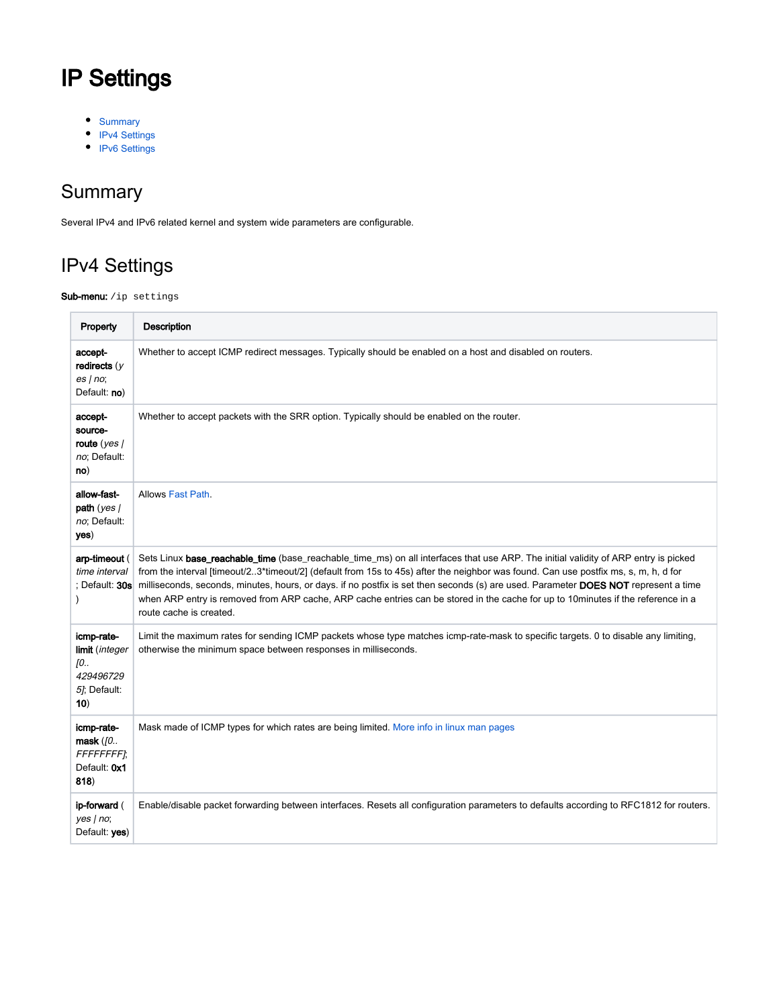# IP Settings

- [Summary](#page-0-0)
- [IPv4 Settings](#page-0-1)
- [IPv6 Settings](#page-1-0)

### <span id="page-0-0"></span>**Summary**

Several IPv4 and IPv6 related kernel and system wide parameters are configurable.

# <span id="page-0-1"></span>IPv4 Settings

#### Sub-menu: /ip settings

| Property                                                               | <b>Description</b>                                                                                                                                                                                                                                                                                                                                                                                                                                                                                                                                                               |
|------------------------------------------------------------------------|----------------------------------------------------------------------------------------------------------------------------------------------------------------------------------------------------------------------------------------------------------------------------------------------------------------------------------------------------------------------------------------------------------------------------------------------------------------------------------------------------------------------------------------------------------------------------------|
| accept-<br>redirects $(y$<br>es no;<br>Default: no)                    | Whether to accept ICMP redirect messages. Typically should be enabled on a host and disabled on routers.                                                                                                                                                                                                                                                                                                                                                                                                                                                                         |
| accept-<br>source-<br>route $(yes)$<br>no; Default:<br>no)             | Whether to accept packets with the SRR option. Typically should be enabled on the router.                                                                                                                                                                                                                                                                                                                                                                                                                                                                                        |
| allow-fast-<br>path $(yes/$<br>no; Default:<br>yes)                    | Allows Fast Path.                                                                                                                                                                                                                                                                                                                                                                                                                                                                                                                                                                |
| arp-timeout (<br>time interval<br>: Default: 30s                       | Sets Linux base_reachable_time (base_reachable_time_ms) on all interfaces that use ARP. The initial validity of ARP entry is picked<br>from the interval [timeout/23*timeout/2] (default from 15s to 45s) after the neighbor was found. Can use postfix ms, s, m, h, d for<br>milliseconds, seconds, minutes, hours, or days. if no postfix is set then seconds (s) are used. Parameter DOES NOT represent a time<br>when ARP entry is removed from ARP cache, ARP cache entries can be stored in the cache for up to 10minutes if the reference in a<br>route cache is created. |
| icmp-rate-<br>limit (integer<br>ſО<br>429496729<br>5]; Default:<br>10) | Limit the maximum rates for sending ICMP packets whose type matches icmp-rate-mask to specific targets. 0 to disable any limiting,<br>otherwise the minimum space between responses in milliseconds.                                                                                                                                                                                                                                                                                                                                                                             |
| icmp-rate-<br>mask $($ 0<br>FFFFFFFFI;<br>Default: 0x1<br>818)         | Mask made of ICMP types for which rates are being limited. More info in linux man pages                                                                                                                                                                                                                                                                                                                                                                                                                                                                                          |
| ip-forward (<br>yes   no;<br>Default: yes)                             | Enable/disable packet forwarding between interfaces. Resets all configuration parameters to defaults according to RFC1812 for routers.                                                                                                                                                                                                                                                                                                                                                                                                                                           |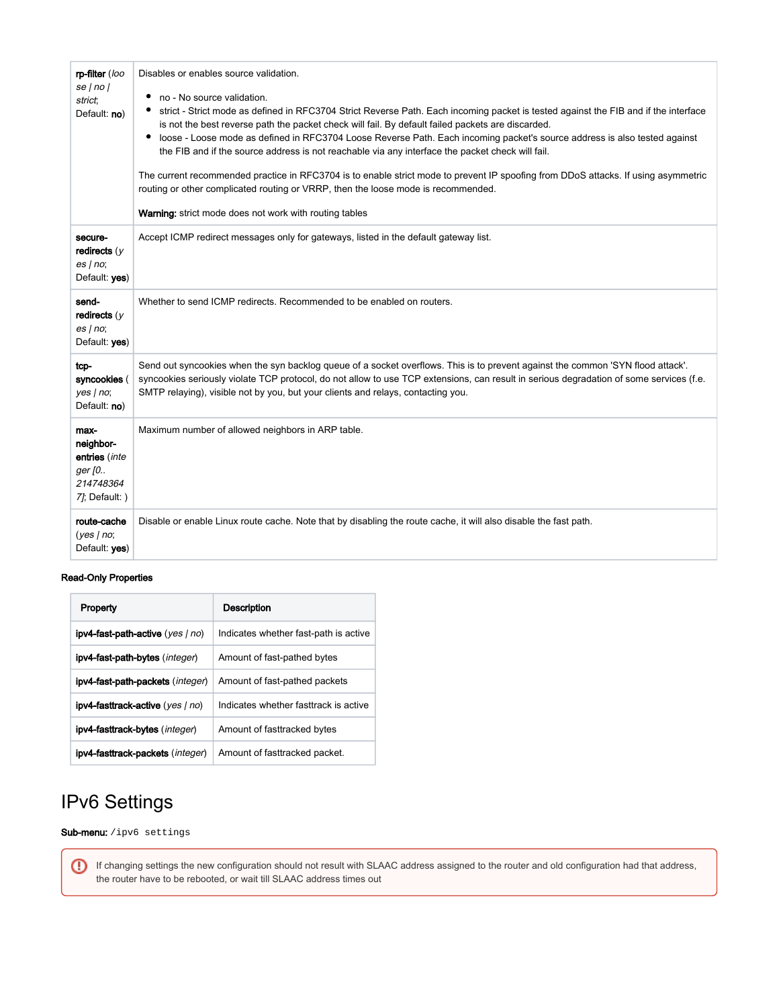| rp-filter (loo<br>se/no/<br>strict;<br>Default: no)                         | Disables or enables source validation.<br>no - No source validation.<br>strict - Strict mode as defined in RFC3704 Strict Reverse Path. Each incoming packet is tested against the FIB and if the interface<br>is not the best reverse path the packet check will fail. By default failed packets are discarded.<br>loose - Loose mode as defined in RFC3704 Loose Reverse Path. Each incoming packet's source address is also tested against<br>٠<br>the FIB and if the source address is not reachable via any interface the packet check will fail.<br>The current recommended practice in RFC3704 is to enable strict mode to prevent IP spoofing from DDoS attacks. If using asymmetric<br>routing or other complicated routing or VRRP, then the loose mode is recommended.<br><b>Warning:</b> strict mode does not work with routing tables |
|-----------------------------------------------------------------------------|----------------------------------------------------------------------------------------------------------------------------------------------------------------------------------------------------------------------------------------------------------------------------------------------------------------------------------------------------------------------------------------------------------------------------------------------------------------------------------------------------------------------------------------------------------------------------------------------------------------------------------------------------------------------------------------------------------------------------------------------------------------------------------------------------------------------------------------------------|
| secure-<br>redirects $(y)$<br>es no;<br>Default: yes)                       | Accept ICMP redirect messages only for gateways, listed in the default gateway list.                                                                                                                                                                                                                                                                                                                                                                                                                                                                                                                                                                                                                                                                                                                                                               |
| send-<br>redirects $(y$<br>es no;<br>Default: yes)                          | Whether to send ICMP redirects. Recommended to be enabled on routers.                                                                                                                                                                                                                                                                                                                                                                                                                                                                                                                                                                                                                                                                                                                                                                              |
| tcp-<br>syncookies (<br>yes no;<br>Default: no)                             | Send out syncookies when the syn backlog queue of a socket overflows. This is to prevent against the common 'SYN flood attack'.<br>syncookies seriously violate TCP protocol, do not allow to use TCP extensions, can result in serious degradation of some services (f.e.<br>SMTP relaying), visible not by you, but your clients and relays, contacting you.                                                                                                                                                                                                                                                                                                                                                                                                                                                                                     |
| max-<br>neighbor-<br>entries (inte<br>ger [0<br>214748364<br>7]; Default: ) | Maximum number of allowed neighbors in ARP table.                                                                                                                                                                                                                                                                                                                                                                                                                                                                                                                                                                                                                                                                                                                                                                                                  |
| route-cache<br>(yes no;<br>Default: yes)                                    | Disable or enable Linux route cache. Note that by disabling the route cache, it will also disable the fast path.                                                                                                                                                                                                                                                                                                                                                                                                                                                                                                                                                                                                                                                                                                                                   |

#### Read-Only Properties

| Property                                         | <b>Description</b>                    |
|--------------------------------------------------|---------------------------------------|
| <b>ipv4-fast-path-active</b> (yes   no)          | Indicates whether fast-path is active |
| <b>ipv4-fast-path-bytes</b> ( <i>integer</i> )   | Amount of fast-pathed bytes           |
| <b>ipv4-fast-path-packets</b> ( <i>integer</i> ) | Amount of fast-pathed packets         |
| <b>ipv4-fasttrack-active</b> (yes   no)          | Indicates whether fasttrack is active |
| ipv4-fasttrack-bytes (integer)                   | Amount of fasttracked bytes           |
| <b>ipv4-fasttrack-packets</b> ( <i>integer</i> ) | Amount of fasttracked packet.         |

## <span id="page-1-0"></span>IPv6 Settings

⊕

Sub-menu: /ipv6 settings

If changing settings the new configuration should not result with SLAAC address assigned to the router and old configuration had that address, the router have to be rebooted, or wait till SLAAC address times out